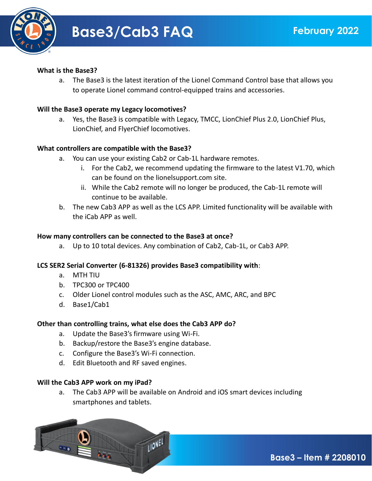

### **What is the Base3?**

a. The Base3 is the latest iteration of the Lionel Command Control base that allows you to operate Lionel command control-equipped trains and accessories.

### **Will the Base3 operate my Legacy locomotives?**

a. Yes, the Base3 is compatible with Legacy, TMCC, LionChief Plus 2.0, LionChief Plus, LionChief, and FlyerChief locomotives.

### **What controllers are compatible with the Base3?**

- a. You can use your existing Cab2 or Cab-1L hardware remotes.
	- i. For the Cab2, we recommend updating the firmware to the latest V1.70, which can be found on the lionelsupport.com site.
	- ii. While the Cab2 remote will no longer be produced, the Cab-1L remote will continue to be available.
- b. The new Cab3 APP as well as the LCS APP. Limited functionality will be available with the iCab APP as well.

#### **How many controllers can be connected to the Base3 at once?**

a. Up to 10 total devices. Any combination of Cab2, Cab-1L, or Cab3 APP.

#### **LCS SER2 Serial Converter (6-81326) provides Base3 compatibility with**:

- a. MTH TIU
- b. TPC300 or TPC400
- c. Older Lionel control modules such as the ASC, AMC, ARC, and BPC
- d. Base1/Cab1

#### **Other than controlling trains, what else does the Cab3 APP do?**

- a. Update the Base3's firmware using Wi-Fi.
- b. Backup/restore the Base3's engine database.
- c. Configure the Base3's Wi-Fi connection.
- d. Edit Bluetooth and RF saved engines.

#### **Will the Cab3 APP work on my iPad?**

a. The Cab3 APP will be available on Android and iOS smart devices including smartphones and tablets.